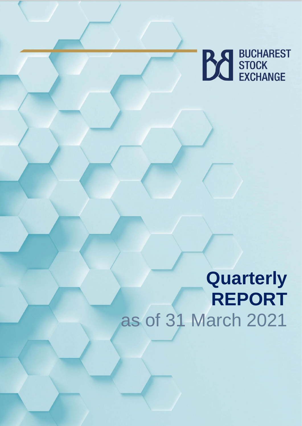

# **Quarterly REPORT**  as of 31 March 2021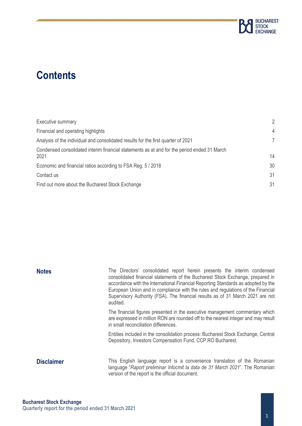

## **Contents**

| Executive summary                                                                                   | $\overline{2}$ |
|-----------------------------------------------------------------------------------------------------|----------------|
| Financial and operating highlights                                                                  | $\overline{4}$ |
| Analysis of the individual and consolidated results for the first quarter of 2021                   | 7              |
| Condensed consolidated interim financial statements as at and for the period ended 31 March<br>2021 | 14             |
| Economic and financial ratios according to FSA Reg. 5 / 2018                                        | 30             |
| Contact us                                                                                          | 31             |
| Find out more about the Bucharest Stock Exchange                                                    | 31             |

| <b>Notes</b>      | The Directors' consolidated report herein presents the interim condensed<br>consolidated financial statements of the Bucharest Stock Exchange, prepared in<br>accordance with the International Financial Reporting Standards as adopted by the<br>European Union and in compliance with the rules and regulations of the Financial<br>Supervisory Authority (FSA). The financial results as of 31 March 2021 are not<br>audited. |
|-------------------|-----------------------------------------------------------------------------------------------------------------------------------------------------------------------------------------------------------------------------------------------------------------------------------------------------------------------------------------------------------------------------------------------------------------------------------|
|                   | The financial figures presented in the executive management commentary which<br>are expressed in million RON are rounded off to the nearest integer and may result<br>in small reconciliation differences.                                                                                                                                                                                                                        |
|                   | Entities included in the consolidation process: Bucharest Stock Exchange, Central<br>Depository, Investors Compensation Fund, CCP.RO Bucharest.                                                                                                                                                                                                                                                                                   |
| <b>Disclaimer</b> | This English language report is a convenience translation of the Romanian<br>language "Raport preliminar întocmit la data de 31 March 2021". The Romanian<br>version of the report is the official document.                                                                                                                                                                                                                      |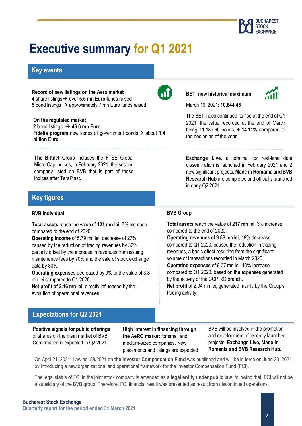

## **Executive summary for Q1 2021**

## **Key events**

**Record of new listings on the Aero market 4** share listings→ over **5.5 mn Euro** funds raised **5** bond listings → approximately 7 mn Euro funds raised

#### **On the regulated market**

2 bond listings  $\rightarrow$  46.6 mn Euro **Fidelis program** new series of government bonds→ about **1.4 billion Euro**

**The Bittnet** Group includes the FTSE Global Micro Cap indices, in February 2021, the second company listed on BVB that is part of these indices after TeraPlast.

## **Key figures**

#### **BVB Individual**

**Total assets** reach the value of **121 mn lei**, 7% increase compared to the end of 2020.

**Operating income** of 5.79 mn lei, decrease of 27%, caused by the reduction of trading revenues by 32%, partially offset by the increase in revenues from issuing maintenance fees by 70% and the sale of stock exchange data by 80%.

**Operating expenses** decreased by 9% to the value of 3.8 mn lei compared to Q1 2020.

**Net profit of 2.16 mn lei**, directly influenced by the evolution of operational revenues.

## $\mathbf{d}$

**BET: new historical maximum**



March 16, 2021: **10,844.45**

The BET index continued its rise at the end of Q1 2021, the value recorded at the end of March being 11,189.60 points, **+ 14.11%** compared to the beginning of the year.

**Exchange Live,** a terminal for real-time data dissemination is launched in February 2021 and 2 new significant projects, **Made in Romania and BVB Research Hub** are completed and officially launched in early Q2 2021.

#### **BVB Group**

**Total assets** reach the value of **217 mn lei**, 3% increase compared to the end of 2020.

**Operating revenues** of 9.88 mn lei, 18% decrease compared to Q1 2020, caused the reduction in trading revenues, a basic effect resulting from the significant volume of transactions recorded in March 2020.

**Operating expenses** of 9.07 mn lei, 13% increase compared to Q1 2020, based on the expenses generated by the activity of the CCP.RO branch.

**Net profit** of 2.04 mn lei, generated mainly by the Group's trading activity.

### **Expectations for Q2 2021**

**Positive signals for public offerings** of shares on the main market of BVB. Confirmation is expected in Q2 2021.

**High interest in financing through the AeRO market** for small and medium-sized companies. New placements and listings are expected

BVB will be involved in the promotion and development of recently launched projects: **Exchange Live, Made in Romania and BVB Research Hub.**

On April 21, 2021, Law no. 88/2021 on the Investor Compensation Fund was published and will be in force on June 20, 2021 by introducing a new organizational and operational framework for the Investor Compensation Fund (FCI).

The legal status of FCI in the joint stock company is amended as **a legal entity under public law**, following that, FCI will not be a subsidiary of the BVB group. Therefore, FCI financial result was presented as result from discontinued operations.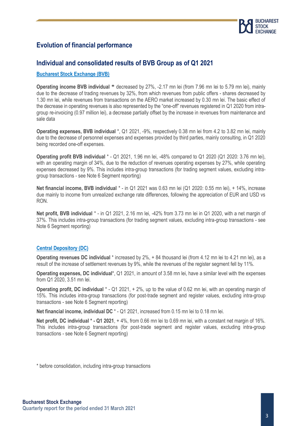

## **Evolution of financial performance**

### **Individual and consolidated results of BVB Group as of Q1 2021**

#### **Bucharest Stock Exchange (BVB)**

**Operating income BVB individual** \* decreased by 27%, -2.17 mn lei (from 7.96 mn lei to 5.79 mn lei), mainly due to the decrease of trading revenues by 32%, from which revenues from public offers - shares decreased by 1.30 mn lei, while revenues from transactions on the AERO market increased by 0.30 mn lei. The basic effect of the decrease in operating revenues is also represented by the "one-off" revenues registered in Q1 2020 from intragroup re-invoicing (0.97 million lei), a decrease partially offset by the increase in revenues from maintenance and sale data

**Operating expenses, BVB individual** \*, Q1 2021, -9%, respectively 0.38 mn lei from 4.2 to 3.82 mn lei, mainly due to the decrease of personnel expenses and expenses provided by third parties, mainly consulting, in Q1 2020 being recorded one-off expenses.

**Operating profit BVB individual** \* - Q1 2021, 1.96 mn lei, -48% compared to Q1 2020 (Q1 2020: 3.76 mn lei), with an operating margin of 34%, due to the reduction of revenues operating expenses by 27%, while operating expenses decreased by 9%. This includes intra-group transactions (for trading segment values, excluding intragroup transactions - see Note 6 Segment reporting)

**Net financial income, BVB individual** \* - in Q1 2021 was 0.63 mn lei (Q1 2020: 0.55 mn lei), + 14%, increase due mainly to income from unrealized exchange rate differences, following the appreciation of EUR and USD vs RON.

**Net profit, BVB individual** \* - in Q1 2021, 2.16 mn lei, -42% from 3.73 mn lei in Q1 2020, with a net margin of 37%. This includes intra-group transactions (for trading segment values, excluding intra-group transactions - see Note 6 Segment reporting)

#### **Central Depository (DC)**

**Operating revenues DC individual** \* increased by 2%, + 84 thousand lei (from 4.12 mn lei to 4.21 mn lei), as a result of the increase of settlement revenues by 9%, while the revenues of the register segment fell by 11%.

**Operating expenses, DC individual**\*, Q1 2021, in amount of 3.58 mn lei, have a similar level with the expenses from Q1 2020, 3.51 mn lei.

**Operating profit, DC individual** \* - Q1 2021, + 2%, up to the value of 0.62 mn lei, with an operating margin of 15%. This includes intra-group transactions (for post-trade segment and register values, excluding intra-group transactions - see Note 6 Segment reporting)

**Net financial income, individual DC**  $*$  - Q1 2021, increased from 0.15 mn lei to 0.18 mn lei.

**Net profit, DC individual \* - Q1 2021**, + 4%, from 0.66 mn lei to 0.69 mn lei, with a constant net margin of 16%. This includes intra-group transactions (for post-trade segment and register values, excluding intra-group transactions - see Note 6 Segment reporting)

\* before consolidation, including intra-group transactions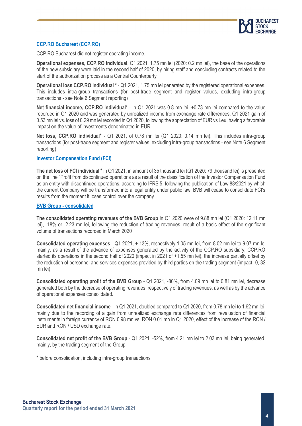

#### **CCP.RO Bucharest (CCP.RO)**

CCP.RO Bucharest did not register operating income.

**Operational expenses, CCP.RO individual**, Q1 2021, 1.75 mn lei (2020: 0.2 mn lei), the base of the operations of the new subsidiary were laid in the second half of 2020, by hiring staff and concluding contracts related to the start of the authorization process as a Central Counterparty

**Operational loss CCP.RO individual** \* - Q1 2021, 1.75 mn lei generated by the registered operational expenses. This includes intra-group transactions (for post-trade segment and register values, excluding intra-group transactions - see Note 6 Segment reporting)

**Net financial income, CCP.RO individual**\* - in Q1 2021 was 0.8 mn lei, +0.73 mn lei compared to the value recorded in Q1 2020 and was generated by unrealized income from exchange rate differences, Q1 2021 gain of 0.53 mn lei vs. loss of 0.29 mn lei recorded in Q1 2020, following the appreciation of EUR vs Leu, having a favorable impact on the value of investments denominated in EUR.

**Net loss, CCP.RO individual**\* - Q1 2021, of 0.78 mn lei (Q1 2020: 0.14 mn lei). This includes intra-group transactions (for post-trade segment and register values, excluding intra-group transactions - see Note 6 Segment reporting)

#### **Investor Compensation Fund (FCI)**

**The net loss of FCI individual \*** in Q1 2021, in amount of 35 thousand lei (Q1 2020: 79 thousand lei) is presented on the line "Profit from discontinued operations as a result of the classification of the Investor Compensation Fund as an entity with discontinued operations, according to IFRS 5, following the publication of Law 88/2021 by which the current Company will be transformed into a legal entity under public law. BVB will cease to consolidate FCI's results from the moment it loses control over the company.

#### **BVB Group - consolidated**

**The consolidated operating revenues of the BVB Group i**n Q1 2020 were of 9.88 mn lei (Q1 2020: 12.11 mn lei), -18% or -2.23 mn lei, following the reduction of trading revenues, result of a basic effect of the significant volume of transactions recorded in March 2020

**Consolidated operating expenses** - Q1 2021, + 13%, respectively 1.05 mn lei, from 8.02 mn lei to 9.07 mn lei mainly, as a result of the advance of expenses generated by the activity of the CCP.RO subsidiary, CCP.RO started its operations in the second half of 2020 (impact in 2021 of +1.55 mn lei), the increase partially offset by the reduction of personnel and services expenses provided by third parties on the trading segment (impact -0, 32 mn lei)

**Consolidated operating profit of the BVB Group** - Q1 2021, -80%, from 4.09 mn lei to 0.81 mn lei, decrease generated both by the decrease of operating revenues, respectively of trading revenues, as well as by the advance of operational expenses consolidated.

**Consolidated net financial income** - in Q1 2021, doubled compared to Q1 2020, from 0.78 mn lei to 1.62 mn lei, mainly due to the recording of a gain from unrealized exchange rate differences from revaluation of financial instruments in foreign currency of RON 0.98 mn vs. RON 0.01 mn in Q1 2020, effect of the increase of the RON / EUR and RON / USD exchange rate.

**Consolidated net profit of the BVB Group** - Q1 2021, -52%, from 4.21 mn lei to 2.03 mn lei, being generated, mainly, by the trading segment of the Group

\* before consolidation, including intra-group transactions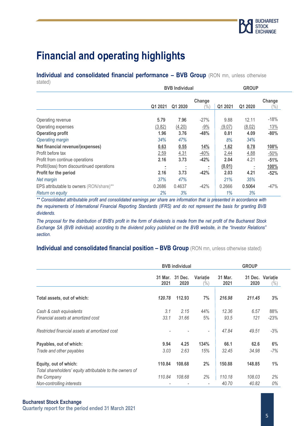## **Financial and operating highlights**

**Individual and consolidated financial performance – BVB Group (RON mn, unless otherwise** stated)

| 0.00000                                     | <b>BVB</b> Individual |         | <b>GROUP</b>   |             |         |                  |  |
|---------------------------------------------|-----------------------|---------|----------------|-------------|---------|------------------|--|
|                                             | Q1 2021               | Q1 2020 | Change<br>$\%$ | Q1 2021     | Q1 2020 | Change<br>$(\%)$ |  |
| Operating revenue                           | 5.79                  | 7.96    | $-27%$         | 9.88        | 12.11   | $-18%$           |  |
| Operating expenses                          | (3.82)                | (4.20)  | $-9%$          | (9.07)      | (8.02)  | <u>13%</u>       |  |
| <b>Operating profit</b>                     | 1.96                  | 3.76    | $-48%$         | 0.81        | 4.09    | $-80%$           |  |
| Operating margin                            | 34%                   | 47%     |                | 8%          | 34%     |                  |  |
| Net financial revenue/(expenses)            | 0.63                  | 0.55    | <u>14%</u>     | <u>1.62</u> | 0.78    | 108%             |  |
| Profit before tax                           | 2.59                  | 4.31    | $-40%$         | 2.44        | 4.88    | $-50%$           |  |
| Profit from continue operations             | 2.16                  | 3.73    | $-42%$         | 2.04        | 4.21    | $-51%$           |  |
| Profit/(loss) from discountinued operations |                       |         |                | (0.01)      |         | 100%             |  |
| Profit for the period                       | 2.16                  | 3.73    | $-42%$         | 2.03        | 4.21    | $-52%$           |  |
| Net margin                                  | 37%                   | 47%     |                | 21%         | 35%     |                  |  |
| EPS attributable to owners (RON/share)**    | 0.2686                | 0.4637  | $-42%$         | 0.2666      | 0.5064  | $-47%$           |  |
| Return on equity                            | 2%                    | 3%      |                | 1%          | 3%      |                  |  |

*\*\* Consolidated attributable profit and consolidated earnings per share are information that is presented in accordance with the requirements of International Financial Reporting Standards (IFRS) and do not represent the basis for granting BVB dividends.*

*The proposal for the distribution of BVB's profit in the form of dividends is made from the net profit of the Bucharest Stock Exchange SA (BVB individual) according to the dividend policy published on the BVB website, in the "Investor Relations" section.*

### **Individual and consolidated financial position – BVB Group (RON mn, unless otherwise stated)**

|                                                          | <b>BVB</b> individual |                 | <b>GROUP</b>              |                 |        |                            |
|----------------------------------------------------------|-----------------------|-----------------|---------------------------|-----------------|--------|----------------------------|
|                                                          | 31 Mar.<br>2021       | 31 Dec.<br>2020 | Variatie<br>$\frac{9}{0}$ | 31 Mar.<br>2021 | 2020   | 31 Dec. Variație<br>$(\%)$ |
| Total assets, out of which:                              | 120.78                | 112.93          | 7%                        | 216.98          | 211.45 | 3%                         |
| Cash & cash equivalents                                  | 3.1                   | 2.15            | 44%                       | 12.36           | 6.57   | 88%                        |
| Financial assets at amortized cost                       | 33.1                  | 31.66           | 5%                        | 93.5            | 121    | $-23%$                     |
| Restricted financial assets at amortized cost            |                       |                 | $\overline{\phantom{a}}$  | 47.84           | 49.51  | $-3%$                      |
| Payables, out of which:                                  | 9.94                  | 4.25            | 134%                      | 66.1            | 62.6   | 6%                         |
| Trade and other payables                                 | 3.03                  | 2.63            | 15%                       | 32.45           | 34.98  | $-7%$                      |
| Equity, out of which:                                    | 110.84                | 108.68          | 2%                        | 150.88          | 148.85 | $1\%$                      |
| Total shareholders' equity attributable to the owners of |                       |                 |                           |                 |        |                            |
| the Company                                              | 110.84                | 108.68          | 2%                        | 110.18          | 108.03 | 2%                         |
| Non-controlling interests                                |                       |                 |                           | 40.70           | 40.82  | 0%                         |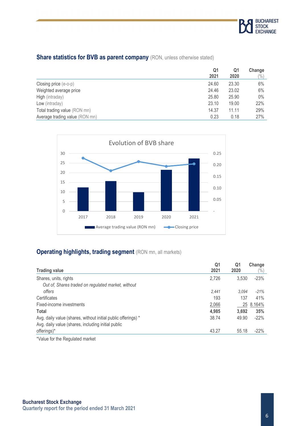

### **Share statistics for BVB as parent company** (RON, unless otherwise stated)

|                                | Q1<br>2021 | Q1<br>2020 | Change<br>(%) |
|--------------------------------|------------|------------|---------------|
| Closing price (e-o-p)          | 24.60      | 23.30      | 6%            |
| Weighted average price         | 24.46      | 23.02      | 6%            |
| High (intraday)                | 25.80      | 25.90      | $0\%$         |
| Low (intraday)                 | 23.10      | 19.00      | 22%           |
| Total trading value (RON mn)   | 14.37      | 11.11      | 29%           |
| Average trading value (RON mn) | 0.23       | 0.18       | 27%           |



### **Operating highlights, trading segment** (RON mn, all markets)

| <b>Trading value</b>                                          | Q1<br>2021 | Q1<br>2020 | Change<br>$\frac{1}{2}$ |
|---------------------------------------------------------------|------------|------------|-------------------------|
| Shares, units, rights                                         | 2,726      | 3,530      | $-23%$                  |
| Out of, Shares traded on regulated market, without            |            |            |                         |
| offers                                                        | 2.441      | 3.094      | $-21%$                  |
| Certificates                                                  | 193        | 137        | 41%                     |
| Fixed-income investments                                      | 2,066      |            | 25 8.164%               |
| <b>Total</b>                                                  | 4,985      | 3.692      | 35%                     |
| Avg. daily value (shares, without initial public offerings) * | 38.74      | 49.90      | $-22%$                  |
| Avg. daily value (shares, including initial public            |            |            |                         |
| offerings)*                                                   | 43.27      | 55.18      | $-22%$                  |

\*Value for the Regulated market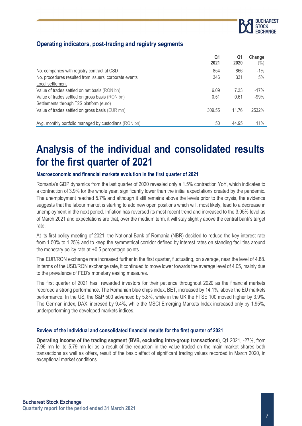

### **Operating indicators, post-trading and registry segments**

|                                                        | Q1     | Q1    | Change         |
|--------------------------------------------------------|--------|-------|----------------|
|                                                        | 2021   | 2020  | $\binom{0}{0}$ |
| No. companies with registry contract at CSD            | 854    | 866   | $-1\%$         |
| No. procedures resulted from issuers' corporate events | 346    | 331   | 5%             |
| Local settlement                                       |        |       |                |
| Value of trades settled on net basis (RON bn)          | 6.09   | 7.33  | $-17%$         |
| Value of trades settled on gross basis (RON bn)        | 0.51   | 0.61  | $-99%$         |
| Settlements through T2S platform (euro)                |        |       |                |
| Value of trades settled on gross basis (EUR mn)        | 309.55 | 11.76 | 2532%          |
| Avg. monthly portfolio managed by custodians (RON bn)  | 50     | 44.95 | 11%            |
|                                                        |        |       |                |

## **Analysis of the individual and consolidated results for the first quarter of 2021**

#### **Macroeconomic and financial markets evolution in the first quarter of 2021**

Romania's GDP dynamics from the last quarter of 2020 revealed only a 1.5% contraction YoY, which indicates to a contraction of 3.9% for the whole year, significantly lower than the initial expectations created by the pandemic. The unemployment reached 5.7% and although it still remains above the levels prior to the crysis, the evidence suggests that the labour market is starting to add new open positions which will, most likely, lead to a decrease in unemployment in the next period. Inflation has reversed its most recent trend and increased to the 3.05% level as of March 2021 and expectations are that, over the medium term, it will stay slightly above the central bank's target rate.

At its first policy meeting of 2021, the National Bank of Romania (NBR) decided to reduce the key interest rate from 1.50% to 1.25% and to keep the symmetrical corridor defined by interest rates on standing facilities around the monetary policy rate at  $\pm 0.5$  percentage points.

The EUR/RON exchange rate increased further in the first quarter, fluctuating, on average, near the level of 4.88. In terms of the USD/RON exchange rate, it continued to move lower towards the average level of 4.05, mainly due to the prevalence of FED's monetary easing measures.

The first quarter of 2021 has rewarded investors for their patience throughout 2020 as the financial markets recorded a strong performance. The Romanian blue chips index, BET, increased by 14.1%, above the EU markets performance. In the US, the S&P 500 advanced by 5.8%, while in the UK the FTSE 100 moved higher by 3.9%. The German index, DAX, incresed by 9.4%, while the MSCI Emerging Markets Index increased only by 1.95%, underperforming the developed markets indices.

#### **Review of the individual and consolidated financial results for the first quarter of 2021**

**Operating income of the trading segment (BVB, excluding intra-group transactions**), Q1 2021, -27%, from 7.96 mn lei to 5.79 mn lei as a result of the reduction in the value traded on the main market shares both transactions as well as offers, result of the basic effect of significant trading values recorded in March 2020, in exceptional market conditions.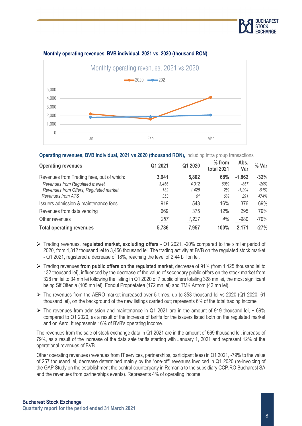



#### **Monthly operating revenues, BVB individual, 2021 vs. 2020 (thousand RON)**

**Operating revenues, BVB individual, 2021 vs 2020 (thousand RON),** including intra group transactions

| <b>Operating revenues</b>                 | Q1 2021    | Q1 2020 | $%$ from<br><b>total 2021</b> | Abs.<br>Var | % Var  |
|-------------------------------------------|------------|---------|-------------------------------|-------------|--------|
| Revenues from Trading fees, out of which: | 3,941      | 5,802   | 68%                           | $-1,862$    | $-32%$ |
| Revenues from Regulated market            | 3.456      | 4.312   | 60%                           | $-857$      | $-20%$ |
| Revenues from Offers, Regulated market    | 132        | 1,425   | 2%                            | $-1.294$    | $-91%$ |
| <b>Revenues from ATS</b>                  | 353        | 61      | 6%                            | 291         | 474%   |
| Issuers admission & maintenance fees      | 919        | 543     | 16%                           | 376         | 69%    |
| Revenues from data vending                | 669        | 375     | 12%                           | 295         | 79%    |
| Other revenues                            | <u>257</u> | 1,237   | 4%                            | $-980$      | $-79%$ |
| <b>Total operating revenues</b>           | 5,786      | 7,957   | 100%                          | 2,171       | $-27%$ |

- ➢ Trading revenues, **regulated market, excluding offers** Q1 2021, -20% compared to the similar period of 2020, from 4,312 thousand lei to 3,456 thousand lei. The trading activity at BVB on the regulated stock market - Q1 2021, registered a decrease of 18%, reaching the level of 2.44 billion lei.
- ➢ Trading revenues **from public offers on the regulated market**, decrease of 91% (from 1,425 thousand lei to 132 thousand lei), influenced by the decrease of the value of secondary public offers on the stock market from 328 mn lei to 34 mn lei following the listing in Q1 2020 of 7 public offers totaling 328 mn lei, the most significant being Sif Oltenia (105 mn lei), Fondul Proprietatea (172 mn lei) and TMK Artrom (42 mn lei).
- ➢ The revenues from the AERO market increased over 5 times, up to 353 thousand lei vs 2020 (Q1 2020: 61 thousand lei), on the background of the new listings carried out; represents 6% of the total trading income
- $\triangleright$  The revenues from admission and maintenance in Q1 2021 are in the amount of 919 thousand lei, +69% compared to Q1 2020, as a result of the increase of tariffs for the issuers listed both on the regulated market and on Aero. It represents 16% of BVB's operating income.

The revenues from the sale of stock exchange data in Q1 2021 are in the amount of 669 thousand lei, increase of 79%, as a result of the increase of the data sale tariffs starting with January 1, 2021 and represent 12% of the operational revenues of BVB.

Other operating revenues (revenues from IT services, partnerships, participant fees) in Q1 2021, -79% to the value of 257 thousand lei, decrease determined mainly by the "one-off" revenues invoiced in Q1 2020 (re-invoicing of the GAP Study on the establishment the central counterparty in Romania to the subsidiary CCP.RO Bucharest SA and the revenues from partnerships events). Represents 4% of operating income.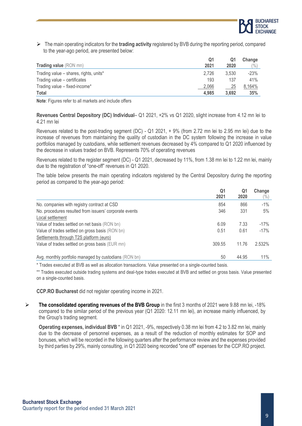

➢ The main operating indicators for the **trading activity** registered by BVB during the reporting period, compared to the year-ago period, are presented below:

|                                        | Q1    | Q1    | Change          |
|----------------------------------------|-------|-------|-----------------|
| <b>Trading value</b> (RON mn)          | 2021  | 2020  | $\frac{(0)}{0}$ |
| Trading value - shares, rights, units* | 2,726 | 3.530 | $-23%$          |
| Trading value - certificates           | 193   | 137   | 41%             |
| Trading value - fixed-income*          | 2,066 | 25    | 8,164%          |
| Total                                  | 4.985 | 3.692 | 35%             |

**Note**: Figures refer to all markets and include offers

**Revenues Central Depository (DC) Individual**– Q1 2021, +2% vs Q1 2020, slight increase from 4.12 mn lei to 4.21 mn lei

Revenues related to the post-trading segment (DC) - Q1 2021, + 9% (from 2.72 mn lei to 2.95 mn lei) due to the increase of revenues from maintaining the quality of custodian in the DC system following the increase in value portfolios managed by custodians, while settlement revenues decreased by 4% compared to Q1 2020 influenced by the decrease in values traded on BVB. Represents 70% of operating revenues

Revenues related to the register segment (DC) - Q1 2021, decreased by 11%, from 1.38 mn lei to 1.22 mn lei, mainly due to the registration of "one-off" revenues in Q1 2020.

The table below presents the main operating indicators registered by the Central Depository during the reporting period as compared to the year-ago period:

|                                                        | Q1<br>2021 | Q1<br>2020 | Change |
|--------------------------------------------------------|------------|------------|--------|
|                                                        |            |            | $(\%)$ |
| No. companies with registry contract at CSD            | 854        | 866        | $-1\%$ |
| No. procedures resulted from issuers' corporate events | 346        | 331        | 5%     |
| Local settlement                                       |            |            |        |
| Value of trades settled on net basis (RON bn)          | 6.09       | 7.33       | $-17%$ |
| Value of trades settled on gross basis (RON bn)        | 0.51       | 0.61       | $-17%$ |
| Settlements through T2S platform (euro)                |            |            |        |
| Value of trades settled on gross basis (EUR mn)        | 309.55     | 11.76      | 2.532% |
| Avg. monthly portfolio managed by custodians (RON bn)  | 50         | 44.95      | 11%    |

\* Trades executed at BVB as well as allocation transactions. Value presented on a single-counted basis.

\*\* Trades executed outside trading systems and deal-type trades executed at BVB and settled on gross basis. Value presented on a single-counted basis.

**CCP.RO Bucharest** did not register operating income in 2021.

➢ **The consolidated operating revenues of the BVB Group** in the first 3 months of 2021 were 9.88 mn lei, -18% compared to the similar period of the previous year (Q1 2020: 12.11 mn lei), an increase mainly influenced, by the Group's trading segment.

**Operating expenses, individual BVB** \* in Q1 2021, -9%, respectively 0.38 mn lei from 4.2 to 3.82 mn lei, mainly due to the decrease of personnel expenses, as a result of the reduction of monthly estimates for SOP and bonuses, which will be recorded in the following quarters after the performance review and the expenses provided by third parties by 29%, mainly consulting, in Q1 2020 being recorded "one off" expenses for the CCP.RO project.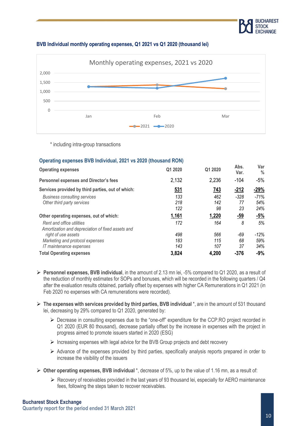

#### **BVB Individual monthly operating expenses, Q1 2021 vs Q1 2020 (thousand lei)**



\* including intra-group transactions

| Q1 2020    | Q1 2020                                                        | Abs.<br>Var. | Var<br>$\frac{0}{0}$ |
|------------|----------------------------------------------------------------|--------------|----------------------|
| 2,132      | 2,236                                                          | $-104$       | $-5%$                |
| <u>531</u> | 743                                                            | <u>-212</u>  | $-29%$               |
| 133        | 462                                                            | $-328$       | $-71%$               |
| 218        | 142                                                            | 77           | 54%                  |
| 122        | 98                                                             | 23           | 24%                  |
| 1,161      | 1,220                                                          | $-59$        | $-5%$                |
| 172        | 164                                                            | 8            | 5%                   |
|            |                                                                |              |                      |
| 498        | 566                                                            | -69          | $-12%$               |
| 183        | 115                                                            | 68           | 59%                  |
| 143        | 107                                                            | 37           | 34%                  |
| 3,824      | 4,200                                                          | $-376$       | $-9%$                |
|            | Operating expenses BVB Individual, 2021 vs 2020 (thousand RON) |              |                      |

- ➢ **Personnel expenses, BVB individual**, in the amount of 2.13 mn lei, -5% compared to Q1 2020, as a result of the reduction of monthly estimates for SOPs and bonuses, which will be recorded in the following quarters / Q4 after the evaluation results obtained, partially offset by expenses with higher CA Remunerations in Q1 2021 (in Feb 2020 no expenses with CA remunerations were recorded).
- ➢ **The expenses with services provided by third parties, BVB individual** \*, are in the amount of 531 thousand lei, decreasing by 29% compared to Q1 2020, generated by:
	- ➢ Decrease in consulting expenses due to the "one-off" expenditure for the CCP.RO project recorded in Q1 2020 (EUR 80 thousand), decrease partially offset by the increase in expenses with the project in progress aimed to promote issuers started in 2020 (ESG)
	- ➢ Increasing expenses with legal advice for the BVB Group projects and debt recovery
	- ➢ Advance of the expenses provided by third parties, specifically analysis reports prepared in order to increase the visibility of the issuers
- ➢ **Other operating expenses, BVB individual** \*, decrease of 5%, up to the value of 1.16 mn, as a result of:
	- ➢ Recovery of receivables provided in the last years of 93 thousand lei, especially for AERO maintenance fees, following the steps taken to recover receivables.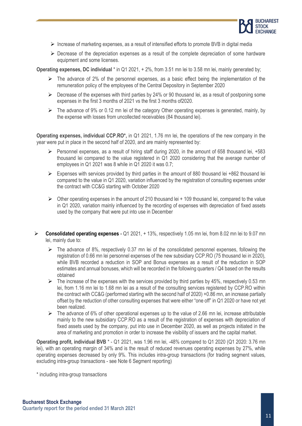

- ➢ Increase of marketing expenses, as a result of intensified efforts to promote BVB in digital media
- $\triangleright$  Decrease of the depreciation expenses as a result of the complete depreciation of some hardware equipment and some licenses.

**Operating expenses, DC individual** \* in Q1 2021, + 2%, from 3.51 mn lei to 3.58 mn lei, mainly generated by;

- $\triangleright$  The advance of 2% of the personnel expenses, as a basic effect being the implementation of the remuneration policy of the employees of the Central Depository in September 2020
- $\triangleright$  Decrease of the expenses with third parties by 24% or 90 thousand lei, as a result of postponing some expenses in the first 3 months of 2021 vs the first 3 months of2020.
- $\triangleright$  The advance of 9% or 0.12 mn lei of the category Other operating expenses is generated, mainly, by the expense with losses from uncollected receivables (84 thousand lei).

**Operating expenses, individual CCP.RO\*,** in Q1 2021, 1.76 mn lei, the operations of the new company in the year were put in place in the second half of 2020, and are mainly represented by:

- $\triangleright$  Personnel expenses, as a result of hiring staff during 2020, in the amount of 658 thousand lei, +583 thousand lei compared to the value registered in Q1 2020 considering that the average number of employees in Q1 2021 was 8 while in Q1 2020 it was 0.7;
- ➢ Expenses with services provided by third parties in the amount of 880 thousand lei +862 thousand lei compared to the value in Q1 2020, variation influenced by the registration of consulting expenses under the contract with CC&G starting with October 2020
- $\triangleright$  Other operating expenses in the amount of 210 thousand lei + 109 thousand lei, compared to the value in Q1 2020, variation mainly influenced by the recording of expenses with depreciation of fixed assets used by the company that were put into use in December
- ➢ **Consolidated operating expenses**  Q1 2021, + 13%, respectively 1.05 mn lei, from 8.02 mn lei to 9.07 mn lei, mainly due to:
	- $\triangleright$  The advance of 8%, respectively 0.37 mn lei of the consolidated personnel expenses, following the registration of 0.66 mn lei personnel expenses of the new subsidiary CCP.RO (75 thousand lei in 2020), while BVB recorded a reduction in SOP and Bonus expenses as a result of the reduction in SOP estimates and annual bonuses, which will be recorded in the following quarters / Q4 based on the results obtained
	- $\triangleright$  The increase of the expenses with the services provided by third parties by 45%, respectively 0.53 mn lei, from 1.16 mn lei to 1.68 mn lei as a result of the consulting services registered by CCP.RO within the contract with CC&G (performed starting with the second half of 2020) +0.86 mn, an increase partially offset by the reduction of other consulting expenses that were either "one off" in Q1 2020 or have not yet been realized.
	- $\triangleright$  The advance of 6% of other operational expenses up to the value of 2.66 mn lei, increase attributable mainly to the new subsidiary CCP.RO as a result of the registration of expenses with depreciation of fixed assets used by the company, put into use in December 2020, as well as projects initiated in the area of marketing and promotion in order to increase the visibility of issuers and the capital market.

**Operating profit, individual BVB** \* - Q1 2021, was 1.96 mn lei, -48% compared to Q1 2020 (Q1 2020: 3.76 mn lei), with an operating margin of 34% and is the result of reduced revenues operating expenses by 27%, while operating expenses decreased by only 9%. This includes intra-group transactions (for trading segment values, excluding intra-group transactions - see Note 6 Segment reporting)

\* including intra-group transactions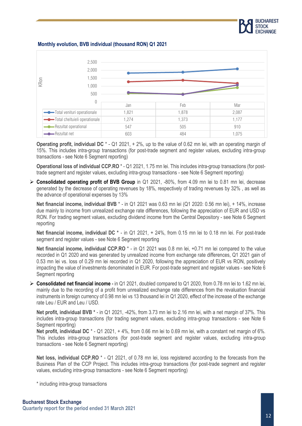

**Monthly evolution, BVB individual (thousand RON) Q1 2021**



**Operating profit, individual DC** \* - Q1 2021, + 2%, up to the value of 0.62 mn lei, with an operating margin of 15%. This includes intra-group transactions (for post-trade segment and register values, excluding intra-group transactions - see Note 6 Segment reporting)

**Operational loss of individual CCP.RO** \* - Q1 2021, 1.75 mn lei. This includes intra-group transactions (for posttrade segment and register values, excluding intra-group transactions - see Note 6 Segment reporting)

➢ **Consolidated operating profit of BVB Group** in Q1 2021, -80%, from 4.09 mn lei to 0.81 mn lei, decrease generated by the decrease of operating revenues by 18%, respectively of trading revenues by 32% , as well as the advance of operational expenses by 13%

**Net financial income, individual BVB** \* - in Q1 2021 was 0.63 mn lei (Q1 2020: 0.56 mn lei), + 14%, increase due mainly to income from unrealized exchange rate differences, following the appreciation of EUR and USD vs RON. For trading segment values, excluding dividend income from the Central Depository - see Note 6 Segment reporting

**Net financial income, individual DC \*** - in Q1 2021, + 24%, from 0.15 mn lei to 0.18 mn lei. For post-trade segment and register values - see Note 6 Segment reporting

**Net financial income, individual CCP.RO**  $*$  - in Q1 2021 was 0.8 mn lei, +0.71 mn lei compared to the value recorded in Q1 2020 and was generated by unrealized income from exchange rate differences, Q1 2021 gain of 0.53 mn lei vs. loss of 0.29 mn lei recorded in Q1 2020, following the appreciation of EUR vs RON, positively impacting the value of investments denominated in EUR. For post-trade segment and register values - see Note 6 Segment reporting

➢ **Consolidated net financial income** - in Q1 2021, doubled compared to Q1 2020, from 0.78 mn lei to 1.62 mn lei, mainly due to the recording of a profit from unrealized exchange rate differences from the revaluation financial instruments in foreign currency of 0.98 mn lei vs 13 thousand lei in Q1 2020, effect of the increase of the exchange rate Leu / EUR and Leu / USD.

**Net profit, individual BVB \*** - in Q1 2021, -42%, from 3.73 mn lei to 2.16 mn lei, with a net margin of 37%. This includes intra-group transactions (for trading segment values, excluding intra-group transactions - see Note 6 Segment reporting)

**Net profit, individual DC** \* - Q1 2021, + 4%, from 0.66 mn lei to 0.69 mn lei, with a constant net margin of 6%. This includes intra-group transactions (for post-trade segment and register values, excluding intra-group transactions - see Note 6 Segment reporting)

**Net loss, individual CCP.RO**  $*$  - Q1 2021, of 0.78 mn lei, loss registered according to the forecasts from the Business Plan of the CCP Project. This includes intra-group transactions (for post-trade segment and register values, excluding intra-group transactions - see Note 6 Segment reporting)

\* including intra-group transactions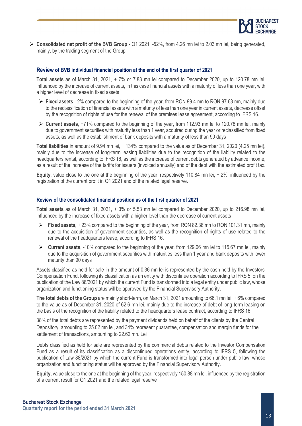

➢ **Consolidated net profit of the BVB Group** - Q1 2021, -52%, from 4.26 mn lei to 2.03 mn lei, being generated, mainly, by the trading segment of the Group

#### **Review of BVB individual financial position at the end of the first quarter of 2021**

**Total assets** as of March 31, 2021, + 7% or 7.83 mn lei compared to December 2020, up to 120.78 mn lei, influenced by the increase of current assets, in this case financial assets with a maturity of less than one year, with a higher level of decrease in fixed assets

- ➢ **Fixed assets**, -2% compared to the beginning of the year, from RON 99.4 mn to RON 97.63 mn, mainly due to the reclassification of financial assets with a maturity of less than one year in current assets, decrease offset by the recognition of rights of use for the renewal of the premises lease agreement, according to IFRS 16.
- ➢ **Current assets**, +71% compared to the beginning of the year, from 112.93 mn lei to 120.78 mn lei, mainly due to government securities with maturity less than 1 year, acquired during the year or reclassified from fixed assets, as well as the establishment of bank deposits with a maturity of less than 90 days

**Total liabilities** in amount of 9.94 mn lei, + 134% compared to the value as of December 31, 2020 (4.25 mn lei), mainly due to the increase of long-term leasing liabilities due to the recognition of the liability related to the headquarters rental, according to IFRS 16, as well as the increase of current debts generated by advance income. as a result of the increase of the tariffs for issuers (invoiced annually) and of the debt with the estimated profit tax.

**Equity**, value close to the one at the beginning of the year, respectively 110.84 mn lei, + 2%, influenced by the registration of the current profit in Q1 2021 and of the related legal reserve.

#### **Review of the consolidated financial position as of the first quarter of 2021**

**Total assets** as of March 31, 2021, + 3% or 5.53 mn lei compared to December 2020, up to 216.98 mn lei, influenced by the increase of fixed assets with a higher level than the decrease of current assets

- ➢ **Fixed assets,** + 23% compared to the beginning of the year, from RON 82.38 mn to RON 101.31 mn, mainly due to the acquisition of government securities, as well as the recognition of rights of use related to the renewal of the headquarters lease, according to IFRS 16.
- ➢ **Current assets**, -10% compared to the beginning of the year, from 129.06 mn lei to 115.67 mn lei, mainly due to the acquisition of government securities with maturities less than 1 year and bank deposits with lower maturity than 90 days

Assets classified as held for sale in the amount of 0.36 mn lei is represented by the cash held by the Investors' Compensation Fund, following its classification as an entity with discontinue operation according to IFRS 5, on the publication of the Law 88/2021 by which the current Fund is transformed into a legal entity under public law, whose organization and functioning status will be approved by the Financial Supervisory Authority.

**The total debts of the Group** are mainly short-term, on March 31, 2021 amounting to 66.1 mn lei, + 6% compared to the value as of December 31, 2020 of 62.6 mn lei, mainly due to the increase of debt of long-term leasing on the basis of the recognition of the liability related to the headquarters lease contract, according to IFRS 16.

38% of the total debts are represented by the payment dividends held on behalf of the clients by the Central Depository, amounting to 25.02 mn lei, and 34% represent guarantee, compensation and margin funds for the settlement of transactions, amounting to 22.62 mn. Lei

Debts classified as held for sale are represented by the commercial debts related to the Investor Compensation Fund as a result of its classification as a discontinued operations entity, according to IFRS 5, following the publication of Law 88/2021 by which the current Fund is transformed into legal person under public law, whose organization and functioning status will be approved by the Financial Supervisory Authority.

**Equity,** value close to the one at the beginning of the year, respectively 150.88 mn lei, influenced by the registration of a current result for Q1 2021 and the related legal reserve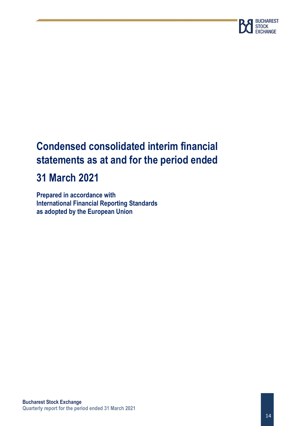

## **Condensed consolidated interim financial statements as at and for the period ended**

## **31 March 2021**

**Prepared in accordance with International Financial Reporting Standards as adopted by the European Union**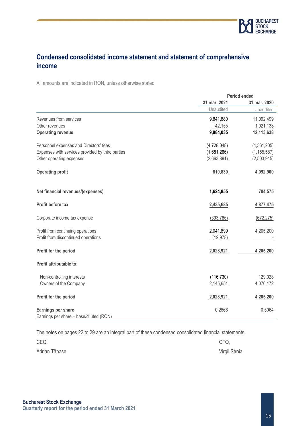

## **Condensed consolidated income statement and statement of comprehensive income**

All amounts are indicated in RON, unless otherwise stated

|                                                  | <b>Period ended</b> |               |  |
|--------------------------------------------------|---------------------|---------------|--|
|                                                  | 31 mar. 2021        | 31 mar. 2020  |  |
|                                                  | Unaudited           | Unaudited     |  |
| Revenues from services                           | 9,841,880           | 11,092,499    |  |
| Other revenues                                   | 42,155              | 1,021,138     |  |
| <b>Operating revenue</b>                         | 9,884,035           | 12,113,638    |  |
| Personnel expenses and Directors' fees           | (4,728,048)         | (4,361,205)   |  |
| Expenses with services provided by third parties | (1,681,266)         | (1, 155, 587) |  |
| Other operating expenses                         | (2,663,891)         | (2,503,945)   |  |
| <b>Operating profit</b>                          | 810,830             | 4,092,900     |  |
| Net financial revenues/(expenses)                | 1,624,855           | 784,575       |  |
| Profit before tax                                | 2,435,685           | 4,877,475     |  |
| Corporate income tax expense                     | (393, 786)          | (672, 275)    |  |
| Profit from continuing operations                | 2,041,899           | 4,205,200     |  |
| Profit from discontinued operations              | (12, 978)           |               |  |
| Profit for the period                            | 2,028,921           | 4,205,200     |  |
| Profit attributable to:                          |                     |               |  |
| Non-controlling interests                        | (116, 730)          | 129,028       |  |
| Owners of the Company                            | 2,145,651           | 4,076,172     |  |
| Profit for the period                            | 2,028,921           | 4,205,200     |  |
| Earnings per share                               | 0,2666              | 0,5064        |  |
| Earnings per share - base/diluted (RON)          |                     |               |  |

The notes on pages 22 to 29 are an integral part of these condensed consolidated financial statements.

| CEO,          | CFO,          |
|---------------|---------------|
| Adrian Tănase | Virgil Stroia |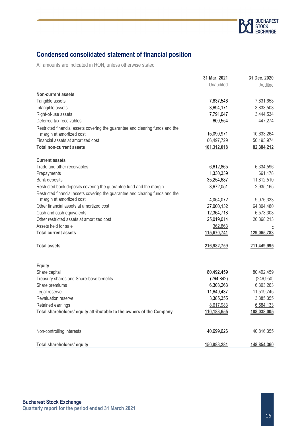

## **Condensed consolidated statement of financial position**

All amounts are indicated in RON, unless otherwise stated

|                                                                               | 31 Mar. 2021 | 31 Dec. 2020 |
|-------------------------------------------------------------------------------|--------------|--------------|
|                                                                               | Unaudited    | Audited      |
| <b>Non-current assets</b>                                                     |              |              |
| Tangible assets                                                               | 7,637,546    | 7,831,658    |
| Intangible assets                                                             | 3,694,171    | 3,833,508    |
| Right-of-use assets                                                           | 7,791,047    | 3,444,534    |
| Deferred tax receivables                                                      | 600,554      | 447,274      |
| Restricted financial assets covering the guarantee and clearing funds and the |              |              |
| margin at amortized cost                                                      | 15,090,971   | 10,633,264   |
| Financial assets at amortized cost                                            | 66,497,729   | 56,193,974   |
| <b>Total non-current assets</b>                                               | 101,312,018  | 82,384,212   |
| <b>Current assets</b>                                                         |              |              |
| Trade and other receivables                                                   | 6,612,865    | 6,334,596    |
| Prepayments                                                                   | 1,330,339    | 661,178      |
| Bank deposits                                                                 | 35,254,687   | 11,812,510   |
| Restricted bank deposits covering the guarantee fund and the margin           | 3,672,051    | 2,935,165    |
| Restricted financial assets covering the guarantee and clearing funds and the |              |              |
| margin at amortized cost                                                      | 4,054,072    | 9,076,333    |
| Other financial assets at amortized cost                                      | 27,000,132   | 64,804,480   |
| Cash and cash equivalents                                                     | 12,364,718   | 6,573,308    |
| Other restricted assets at amortized cost                                     | 25,019,014   | 26,868,213   |
| Assets held for sale                                                          | 362,863      |              |
| <b>Total current assets</b>                                                   | 115,670,741  | 129,065,783  |
| <b>Total assets</b>                                                           | 216,982,759  | 211,449,995  |
| <b>Equity</b>                                                                 |              |              |
| Share capital                                                                 | 80,492,459   | 80,492,459   |
| Treasury shares and Share-base benefits                                       | (264, 842)   | (246, 950)   |
| Share premiums                                                                | 6,303,263    | 6,303,263    |
| Legal reserve                                                                 | 11,649,437   | 11,519,745   |
| Revaluation reserve                                                           | 3,385,355    | 3,385,355    |
| Retained earnings                                                             | 8,617,983    | 6,584,133    |
| Total shareholders' equity attributable to the owners of the Company          | 110,183,655  | 108,038,005  |
|                                                                               |              |              |
| Non-controlling interests                                                     | 40,699,626   | 40,816,355   |
| Total shareholders' equity                                                    | 150,883,281  | 148,854,360  |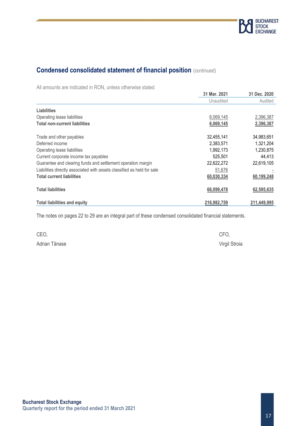

## **Condensed consolidated statement of financial position** (continued)

All amounts are indicated in RON, unless otherwise stated

|                                                                         | 31 Mar. 2021 | 31 Dec. 2020 |
|-------------------------------------------------------------------------|--------------|--------------|
|                                                                         | Unaudited    | Audited      |
| Liabilities                                                             |              |              |
| Operating lease liabilities                                             | 6,069,145    | 2,396,387    |
| <b>Total non-current liabilities</b>                                    | 6,069,145    | 2,396,387    |
| Trade and other payables                                                | 32,455,141   | 34,983,651   |
| Deferred income                                                         | 2,383,571    | 1,321,204    |
| Operating lease liabilities                                             | 1,992,173    | 1,230,875    |
| Current corporate income tax payables                                   | 525,501      | 44,413       |
| Guarantee and clearing funds and settlement operation margin            | 22,622,272   | 22,619,105   |
| Liabilities directly associated with assets classified as held for sale | 51,676       |              |
| <b>Total current liabilities</b>                                        | 60,030,334   | 60,199,248   |
| Total liabilities                                                       | 66,099,478   | 62,595,635   |
| <b>Total liabilities and equity</b>                                     | 216,982,759  | 211,449,995  |

The notes on pages 22 to 29 are an integral part of these condensed consolidated financial statements.

| CEO,          | CFO.          |
|---------------|---------------|
| Adrian Tănase | Virgil Stroia |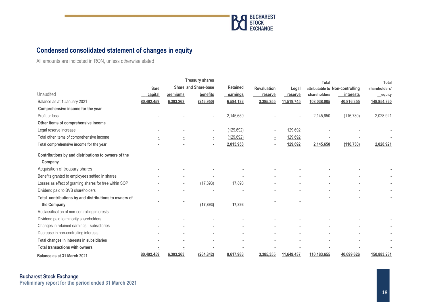

## **Condensed consolidated statement of changes in equity**

All amounts are indicated in RON, unless otherwise stated

|                                                         |             |           | <b>Treasury shares</b>   |                 |                    |            | Total                           |            | <b>Total</b>  |
|---------------------------------------------------------|-------------|-----------|--------------------------|-----------------|--------------------|------------|---------------------------------|------------|---------------|
|                                                         | <b>Sare</b> |           | Share and Share-base     | <b>Retained</b> | <b>Revaluation</b> | Legal      | attributable to Non-controlling |            | shareholders' |
| Unaudited                                               | capital     | premiums  | benefits                 | earnings        | reserve            | reserve    | shareholders                    | interests  | equity        |
| Balance as at 1 January 2021                            | 80,492,459  | 6,303,263 | (246, 950)               | 6,584,133       | 3,385,355          | 11,519,745 | 108,038,005                     | 40,816,355 | 148,854,360   |
| Comprehensive income for the year                       |             |           |                          |                 |                    |            |                                 |            |               |
| Profit or loss                                          |             |           |                          | 2,145,650       |                    |            | 2,145,650                       | (116, 730) | 2,028,921     |
| Other items of comprehensive income                     |             |           |                          |                 |                    |            |                                 |            |               |
| Legal reserve increase                                  |             |           | $\overline{\phantom{a}}$ | (129, 692)      |                    | 129,692    |                                 |            |               |
| Total other items of comprehensive income               |             |           | ÷.                       | (129, 692)      | ÷.                 | 129,692    |                                 |            |               |
| Total comprehensive income for the year                 |             |           |                          | 2,015,958       |                    | 129,692    | 2,145,650                       | (116, 730) | 2,028,921     |
| Contributions by and distributions to owners of the     |             |           |                          |                 |                    |            |                                 |            |               |
| Company                                                 |             |           |                          |                 |                    |            |                                 |            |               |
| Acquisition of treasury shares                          |             |           |                          |                 |                    |            |                                 |            |               |
| Benefits granted to employees settled in shares         |             |           |                          |                 |                    |            |                                 |            |               |
| Losses as effect of granting shares for free within SOP |             |           | (17, 893)                | 17,893          |                    |            |                                 |            |               |
| Dividend paid to BVB shareholders                       |             |           |                          |                 |                    |            |                                 |            |               |
| Total contributions by and distributions to owners of   |             |           |                          |                 |                    |            |                                 |            |               |
| the Company                                             |             |           | (17, 893)                | 17,893          |                    |            |                                 |            |               |
| Reclassification of non-controlling interests           |             |           |                          |                 |                    |            |                                 |            |               |
| Dividend paid to minority shareholders                  |             |           |                          |                 |                    |            |                                 |            |               |
| Changes in retained earnings - subsidiaries             |             |           |                          |                 |                    |            |                                 |            |               |
| Decrease in non-controlling interests                   |             |           |                          |                 |                    |            |                                 |            |               |
| Total changes in interests in subsidiaries              |             |           |                          |                 |                    |            |                                 |            |               |
| <b>Total transactions with owners</b>                   |             | Ē         |                          |                 |                    |            |                                 |            |               |
| Balance as at 31 March 2021                             | 80,492,459  | 6,303,263 | (264, 842)               | 8,617,983       | 3,385,355          | 11,649,437 | 110,183,655                     | 40,699,626 | 150,883,281   |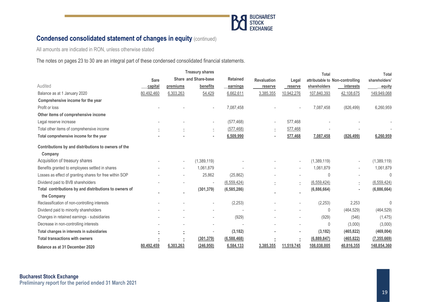

## **Condensed consolidated statement of changes in equity (continued)**

All amounts are indicated in RON, unless otherwise stated

The notes on pages 23 to 30 are an integral part of these condensed consolidated financial statements.

|                                                         | <b>Treasury shares</b> |                          |                             | Total           |                          |                          | <b>Total</b>  |                                 |               |
|---------------------------------------------------------|------------------------|--------------------------|-----------------------------|-----------------|--------------------------|--------------------------|---------------|---------------------------------|---------------|
|                                                         | <b>Sare</b>            |                          | <b>Share and Share-base</b> | <b>Retained</b> | <b>Revaluation</b>       | Legal                    |               | attributable to Non-controlling | shareholders' |
| Audited                                                 | capital                | premiums                 | benefits                    | earnings        | reserve                  | reserve                  | shareholders  | interests                       | equity        |
| Balance as at 1 January 2020                            | 80,492,460             | 6,303,263                | 54,429                      | 6,662,611       | 3,385,355                | 10,942,276               | 107,840,393   | 42,108,675                      | 149,949,068   |
| Comprehensive income for the year                       |                        |                          |                             |                 |                          |                          |               |                                 |               |
| Profit or loss                                          |                        |                          |                             | 7,087,458       |                          |                          | 7,087,458     | (826, 499)                      | 6,260,959     |
| Other items of comprehensive income                     |                        |                          |                             |                 |                          |                          |               |                                 |               |
| Legal reserve increase                                  |                        |                          |                             | (577, 468)      |                          | 577,468                  |               |                                 |               |
| Total other items of comprehensive income               |                        |                          | Ξ                           | (577, 468)      | $\overline{\phantom{a}}$ | 577,468                  |               |                                 |               |
| Total comprehensive income for the year                 |                        |                          | ٠                           | 6,509,990       |                          | 577,468                  | 7,087,458     | (826, 499)                      | 6,260,959     |
| Contributions by and distributions to owners of the     |                        |                          |                             |                 |                          |                          |               |                                 |               |
| Company                                                 |                        |                          |                             |                 |                          |                          |               |                                 |               |
| Acquisition of treasury shares                          |                        | $\overline{\phantom{a}}$ | (1,389,119)                 |                 |                          | $\overline{\phantom{a}}$ | (1,389,119)   |                                 | (1,389,119)   |
| Benefits granted to employees settled in shares         |                        | ٠                        | 1,061,879                   |                 |                          |                          | 1,061,879     |                                 | 1,061,879     |
| Losses as effect of granting shares for free within SOP |                        |                          | 25,862                      | (25, 862)       |                          |                          | $\mathbf{0}$  |                                 | $\Omega$      |
| Dividend paid to BVB shareholders                       |                        |                          | $\overline{\phantom{a}}$    | (6, 559, 424)   |                          | Ē.                       | (6, 559, 424) | $\bar{z}$                       | (6, 559, 424) |
| Total contributions by and distributions to owners of   |                        |                          | (301, 379)                  | (6, 585, 286)   |                          |                          | (6,886,664)   |                                 | (6,886,664)   |
| the Company                                             |                        |                          |                             |                 |                          |                          |               |                                 |               |
| Reclassification of non-controlling interests           |                        |                          | $\overline{\phantom{a}}$    | (2, 253)        |                          |                          | (2, 253)      | 2,253                           | 0             |
| Dividend paid to minority shareholders                  |                        |                          | $\overline{\phantom{a}}$    |                 |                          |                          | 0             | (464, 529)                      | (464, 529)    |
| Changes in retained earnings - subsidiaries             |                        |                          | $\overline{\phantom{a}}$    | (929)           |                          |                          | (929)         | (546)                           | (1, 475)      |
| Decrease in non-controlling interests                   |                        |                          | $\overline{a}$              |                 |                          |                          | 0             | (3,000)                         | (3,000)       |
| Total changes in interests in subsidiaries              |                        | ٠                        | $\overline{\phantom{a}}$    | (3, 182)        |                          | ٠                        | (3, 182)      | (465, 822)                      | (469, 004)    |
| <b>Total transactions with owners</b>                   |                        |                          | (301, 379)                  | (6, 588, 468)   |                          | ž,                       | (6,889,847)   | (465, 822)                      | (7, 355, 669) |
| Balance as at 31 December 2020                          | 80,492,459             | 6,303,263                | (246,950)                   | 6,584,133       | 3,385,355                | 11,519,745               | 108,038,005   | 40,816,355                      | 148,854,360   |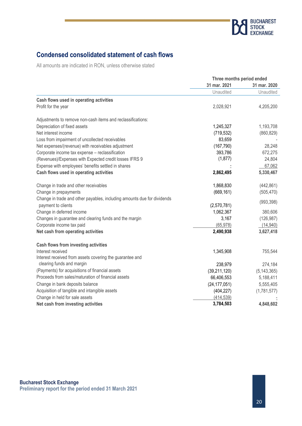

## **Condensed consolidated statement of cash flows**

All amounts are indicated in RON, unless otherwise stated

|                                                                         | Three months period ended |               |  |  |
|-------------------------------------------------------------------------|---------------------------|---------------|--|--|
|                                                                         | 31 mar. 2021              | 31 mar. 2020  |  |  |
|                                                                         | Unaudited                 | Unaudited     |  |  |
| Cash flows used in operating activities                                 |                           |               |  |  |
| Profit for the year                                                     | 2,028,921                 | 4,205,200     |  |  |
| Adjustments to remove non-cash items and reclassifications:             |                           |               |  |  |
| Depreciation of fixed assets                                            | 1,245,327                 | 1,193,708     |  |  |
| Net interest income                                                     | (719, 532)                | (860, 829)    |  |  |
| Loss from impairment of uncollected receivables                         | 83,659                    |               |  |  |
| Net expenses/(revenue) with receivables adjustment                      | (167, 790)                | 28,248        |  |  |
| Corporate income tax expense - reclassification                         | 393,786                   | 672,275       |  |  |
| (Revenues)/Expenses with Expected credit losses IFRS 9                  | (1, 877)                  | 24,804        |  |  |
| Expense with employees' benefits settled in shares                      |                           | 67,062        |  |  |
| Cash flows used in operating activities                                 | 2,862,495                 | 5,330,467     |  |  |
| Change in trade and other receivables                                   | 1,868,830                 | (442, 861)    |  |  |
| Change in prepayments                                                   | (669, 161)                | (505, 470)    |  |  |
| Change in trade and other payables, including amounts due for dividends |                           | (993, 398)    |  |  |
| payment to clients                                                      | (2,570,781)               |               |  |  |
| Change in deferred income                                               | 1,062,367                 | 380,606       |  |  |
| Changes in guarantee and clearing funds and the margin                  | 3,167                     | (126, 987)    |  |  |
| Corporate income tax paid                                               | (65, 978)                 | (14, 940)     |  |  |
| Net cash from operating activities                                      | 2,490,938                 | 3,627,418     |  |  |
| Cash flows from investing activities                                    |                           |               |  |  |
| Interest received                                                       | 1,345,908                 | 755,544       |  |  |
| Interest received from assets covering the guarantee and                |                           |               |  |  |
| clearing funds and margin                                               | 238,979                   | 274,184       |  |  |
| (Payments) for acquisitions of financial assets                         | (39, 211, 120)            | (5, 143, 365) |  |  |
| Proceeds from sales/maturation of financial assets                      | 66,406,553                | 5,188,411     |  |  |
| Change in bank deposits balance                                         | (24, 177, 051)            | 5,555,405     |  |  |
| Acquisition of tangible and intangible assets                           | (404, 227)                | (1,781,577)   |  |  |
| Change in held for sale assets                                          | (414, 539)                |               |  |  |
| Net cash from investing activities                                      | 3,784,503                 | 4,848,602     |  |  |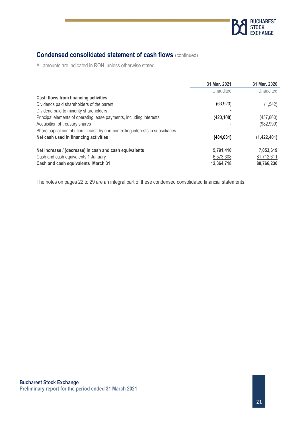

## **Condensed consolidated statement of cash flows** (continued)

All amounts are indicated in RON, unless otherwise stated

|                                                                                 | 31 Mar. 2021 | 31 Mar. 2020 |
|---------------------------------------------------------------------------------|--------------|--------------|
|                                                                                 | Unaudited    | Unaudited    |
| Cash flows from financing activities                                            |              |              |
| Dividends paid shareholders of the parent                                       | (63, 923)    | (1, 542)     |
| Dividend paid to minority shareholders                                          |              |              |
| Principal elements of operating lease payments, including interests             | (420, 108)   | (437, 860)   |
| Acquisition of treasury shares                                                  |              | (982, 999)   |
| Share capital contribution in cash by non-controlling interests in subsidiaries |              |              |
| Net cash used in financing activities                                           | (484, 031)   | (1,422,401)  |
| Net increase / (decrease) in cash and cash equivalents                          | 5,791,410    | 7,053,619    |
| Cash and cash equivalents 1 January                                             | 6,573,308    | 81,712,611   |
| Cash and cash equivalents March 31                                              | 12,364,718   | 88,766,230   |

The notes on pages 22 to 29 are an integral part of these condensed consolidated financial statements.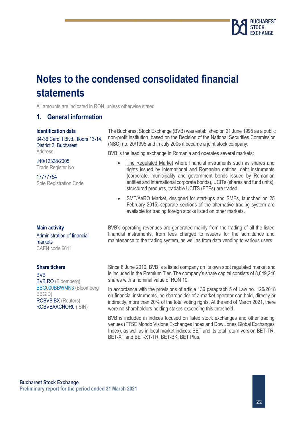

## **Notes to the condensed consolidated financial statements**

All amounts are indicated in RON, unless otherwise stated

### **1. General information**

#### **Identification data**

34-36 Carol I Blvd., floors 13-14, District 2, Bucharest **Address** 

J40/12328/2005 Trade Register No

17777754 Sole Registration Code The Bucharest Stock Exchange (BVB) was established on 21 June 1995 as a public non-profit institution, based on the Decision of the National Securities Commission (NSC) no. 20/1995 and in July 2005 it became a joint stock company.

BVB is the leading exchange in Romania and operates several markets:

- The Regulated Market where financial instruments such as shares and rights issued by international and Romanian entities, debt instruments (corporate, municipality and government bonds issued by Romanian entities and international corporate bonds), UCITs (shares and fund units), structured products, tradable UCITS (ETFs) are traded.
- SMT/AeRO Market, designed for start-ups and SMEs, launched on 25 February 2015; separate sections of the alternative trading system are available for trading foreign stocks listed on other markets.

**Main activity** Administration of financial markets CAEN code 6611

#### **Share tickers**

BVB BVB.RO (Bloomberg) BBG000BBWMN3 (Bloomberg [BBGID\)](http://bsym.bloomberg.com/sym/) ROBVB.BX (Reuters) ROBVBAACNOR0 (ISIN)

BVB's operating revenues are generated mainly from the trading of all the listed financial instruments, from fees charged to issuers for the admittance and maintenance to the trading system, as well as from data vending to various users.

Since 8 June 2010, BVB is a listed company on its own spot regulated market and is included in the Premium Tier. The company's share capital consists of 8,049,246 shares with a nominal value of RON 10.

In accordance with the provisions of article 136 paragraph 5 of Law no. 126/2018 on financial instruments, no shareholder of a market operator can hold, directly or indirectly, more than 20% of the total voting rights. At the end of March 2021, there were no shareholders holding stakes exceeding this threshold.

BVB is included in indices focused on listed stock exchanges and other trading venues (FTSE Mondo Visione Exchanges Index and Dow Jones Global Exchanges Index), as well as in local market indices: BET and its total return version BET-TR, BET-XT and BET-XT-TR, BET-BK, BET Plus.

**Bucharest Stock Exchange Preliminary report for the period ended 31 March 2021**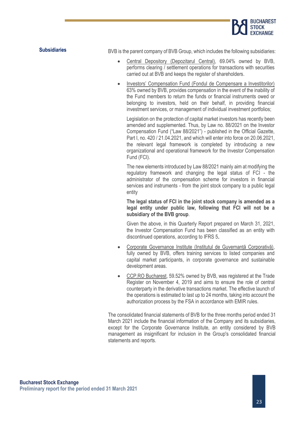

**Subsidiaries** BVB is the parent company of BVB Group, which includes the following subsidiaries:

- Central Depository (Depozitarul Central), 69.04% owned by BVB, performs clearing / settlement operations for transactions with securities carried out at BVB and keeps the register of shareholders.
- Investors' Compensation Fund (Fondul de Compensare a Investitorilor) 63% owned by BVB, provides compensation in the event of the inability of the Fund members to return the funds or financial instruments owed or belonging to investors, held on their behalf, in providing financial investment services, or management of individual investment portfolios;

Legislation on the protection of capital market investors has recently been amended and supplemented. Thus, by Law no. 88/2021 on the Investor Compensation Fund ("Law 88/2021") - published in the Official Gazette, Part I, no. 420 / 21.04.2021, and which will enter into force on 20.06.2021, the relevant legal framework is completed by introducing a new organizational and operational framework for the Investor Compensation Fund (FCI).

The new elements introduced by Law 88/2021 mainly aim at modifying the regulatory framework and changing the legal status of FCI - the administrator of the compensation scheme for investors in financial services and instruments - from the joint stock company to a public legal entity

**The legal status of FCI in the joint stock company is amended as a legal entity under public law, following that FCI will not be a subsidiary of the BVB group**.

Given the above, in this Quarterly Report prepared on March 31, 2021, the Investor Compensation Fund has been classified as an entity with discontinued operations, according to IFRS 5.

- Corporate Governance Institute (Institutul de Guvernanță Corporativă), fully owned by BVB, offers training services to listed companies and capital market participants, in corporate governance and sustainable development areas.
- CCP.RO Bucharest, 59.52% owned by BVB, was registered at the Trade Register on November 4, 2019 and aims to ensure the role of central counterparty in the derivative transactions market. The effective launch of the operations is estimated to last up to 24 months, taking into account the authorization process by the FSA in accordance with EMIR rules.

The consolidated financial statements of BVB for the three months period ended 31 March 2021 include the financial information of the Company and its subsidiaries, except for the Corporate Governance Institute, an entity considered by BVB management as insignificant for inclusion in the Group's consolidated financial statements and reports.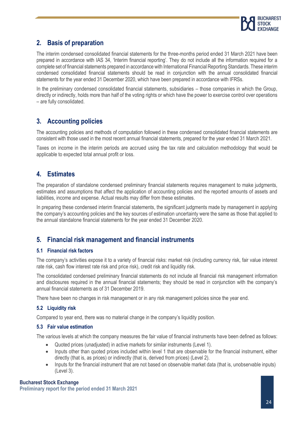

## **2. Basis of preparation**

The interim condensed consolidated financial statements for the three-months period ended 31 March 2021 have been prepared in accordance with IAS 34, 'Interim financial reporting'. They do not include all the information required for a complete set of financial statements prepared in accordance with International Financial Reporting Standards. These interim condensed consolidated financial statements should be read in conjunction with the annual consolidated financial statements for the year ended 31 December 2020, which have been prepared in accordance with IFRSs.

In the preliminary condensed consolidated financial statements, subsidiaries – those companies in which the Group, directly or indirectly, holds more than half of the voting rights or which have the power to exercise control over operations – are fully consolidated.

## **3. Accounting policies**

The accounting policies and methods of computation followed in these condensed consolidated financial statements are consistent with those used in the most recent annual financial statements, prepared for the year ended 31 March 2021.

Taxes on income in the interim periods are accrued using the tax rate and calculation methodology that would be applicable to expected total annual profit or loss.

## **4. Estimates**

The preparation of standalone condensed preliminary financial statements requires management to make judgments, estimates and assumptions that affect the application of accounting policies and the reported amounts of assets and liabilities, income and expense. Actual results may differ from these estimates.

In preparing these condensed interim financial statements, the significant judgments made by management in applying the company's accounting policies and the key sources of estimation uncertainty were the same as those that applied to the annual standalone financial statements for the year ended 31 December 2020.

## **5. Financial risk management and financial instruments**

#### **5.1 Financial risk factors**

The company's activities expose it to a variety of financial risks: market risk (including currency risk, fair value interest rate risk, cash flow interest rate risk and price risk), credit risk and liquidity risk.

The consolidated condensed preliminary financial statements do not include all financial risk management information and disclosures required in the annual financial statements; they should be read in conjunction with the company's annual financial statements as of 31 December 2019.

There have been no changes in risk management or in any risk management policies since the year end.

### **5.2 Liquidity risk**

Compared to year end, there was no material change in the company's liquidity position.

#### **5.3 Fair value estimation**

The various levels at which the company measures the fair value of financial instruments have been defined as follows:

- Quoted prices (unadjusted) in active markets for similar instruments (Level 1).
- Inputs other than quoted prices included within level 1 that are observable for the financial instrument, either directly (that is, as prices) or indirectly (that is, derived from prices) (Level 2).
- Inputs for the financial instrument that are not based on observable market data (that is, unobservable inputs) (Level 3).

#### **Bucharest Stock Exchange**

**Preliminary report for the period ended 31 March 2021**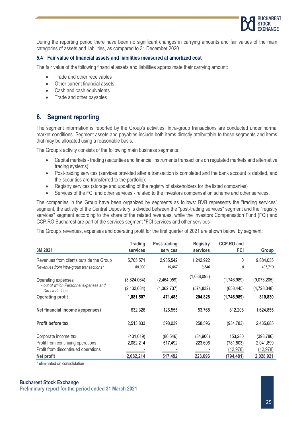

During the reporting period there have been no significant changes in carrying amounts and fair values of the main categories of assets and liabilities, as compared to 31 December 2020.

#### **5.4 Fair value of financial assets and liabilities measured at amortized cost**

The fair value of the following financial assets and liabilities approximate their carrying amount:

- Trade and other receivables
- Other current financial assets
- Cash and cash equivalents
- Trade and other payables

## **6. Segment reporting**

The segment information is reported by the Group's activities. Intra-group transactions are conducted under normal market conditions. Segment assets and payables include both items directly attributable to these segments and items that may be allocated using a reasonable basis.

The Group's activity consists of the following main business segments:

- Capital markets trading (securities and financial instruments transactions on regulated markets and alternative trading systems)
- Post-trading services (services provided after a transaction is completed and the bank account is debited, and the securities are transferred to the portfolio).
- Registry services (storage and updating of the registry of stakeholders for the listed companies)
- Services of the FCI and other services related to the investors compensation scheme and other services.

The companies in the Group have been organized by segments as follows: BVB represents the "trading services" segment, the activity of the Central Depository is divided between the "post-trading services" segment and the "registry services" segment according to the share of the related revenues, while the Investors Compensation Fund (FCI) and CCP.RO Bucharest are part of the services segment "FCI services and other services".

The Group's revenues, expenses and operating profit for the first quarter of 2021 are shown below, by segment:

| 3M 2021                                                  | <b>Trading</b><br>services | Post-trading<br>services | <b>Registry</b><br>services | <b>CCP.RO and</b><br>FCI | Group       |
|----------------------------------------------------------|----------------------------|--------------------------|-----------------------------|--------------------------|-------------|
| Revenues from clients outside the Group                  | 5,705,571                  | 2,935,542                | 1,242,922                   | 0                        | 9,884,035   |
| Revenues from intra-group transactions*                  | 80,000                     | 19.067                   | 8.646                       | 0                        | 107,713     |
| Operating expenses                                       | (3,824,064)                | (2,464,059)              | (1,038,093)                 | (1,746,989)              | (9,073,205) |
| - out of which Personnel expenses and<br>Director's fees | (2, 132, 034)              | (1,362,737)              | (574, 832)                  | (658, 445)               | (4,728,048) |
| <b>Operating profit</b>                                  | 1,881,507                  | 471,483                  | 204,828                     | (1,746,989)              | 810,830     |
| Net financial income /(expenses)                         | 632,326                    | 126,555                  | 53,768                      | 812,206                  | 1,624,855   |
| Profit before tax                                        | 2,513,833                  | 598,039                  | 258,596                     | (934, 783)               | 2,435,685   |
| Corporate income tax                                     | (431, 619)                 | (80, 546)                | (34,900)                    | 153.280                  | (393, 786)  |
| Profit from continuing operations                        | 2,082,214                  | 517,492                  | 223,696                     | (781,503)                | 2,041,899   |
| Profit from discontinued operations                      |                            |                          |                             | (12, 978)                | (12, 978)   |
| Net profit                                               | 2,082,214                  | 517,492                  | 223,696                     | (794, 481)               | 2,028,921   |

\* eliminated on consolidation

#### **Bucharest Stock Exchange**

**Preliminary report for the period ended 31 March 2021**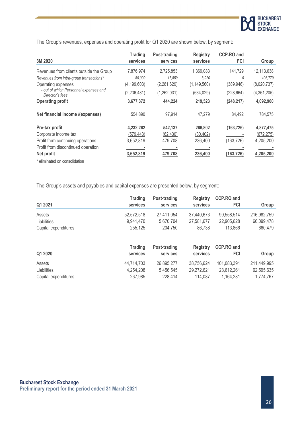

The Group's revenues, expenses and operating profit for Q1 2020 are shown below, by segment:

|                                                          | <b>Trading</b> | Post-trading | <b>Registry</b> | <b>CCP.RO and</b> |             |
|----------------------------------------------------------|----------------|--------------|-----------------|-------------------|-------------|
| 3M 2020                                                  | services       | services     | services        | FCI               | Group       |
| Revenues from clients outside the Group                  | 7,876,974      | 2,725,853    | 1,369,083       | 141,729           | 12,113,638  |
| Revenues from intra-group transactions*                  | 80,000         | 17,859       | 8,920           | 0                 | 106,779     |
| Operating expenses                                       | (4, 199, 603)  | (2,281,629)  | (1, 149, 560)   | (389,946)         | (8,020,737) |
| - out of which Personnel expenses and<br>Director's fees | (2, 236, 481)  | (1,262,031)  | (634, 029)      | (228, 664)        | (4,361,205) |
| <b>Operating profit</b>                                  | 3,677,372      | 444,224      | 219,523         | (248, 217)        | 4,092,900   |
| Net financial income /(expenses)                         | 554,890        | 97,914       | 47,279          | 84,492            | 784,575     |
| Pre-tax profit                                           | 4,232,262      | 542,137      | 266,802         | (163, 726)        | 4,877,475   |
| Corporate income tax                                     | (579, 443)     | (62, 430)    | (30, 402)       |                   | (672, 275)  |
| Profit from continuing operations                        | 3,652,819      | 479,708      | 236,400         | (163, 726)        | 4,205,200   |
| Profit from discontinued operation                       |                |              |                 |                   |             |
| Net profit                                               | 3,652,819      | 479,708      | 236,400         | (163, 726)        | 4,205,200   |

\* eliminated on consolidation

The Group's assets and payables and capital expenses are presented below, by segment:

| Q1 2021              | <b>Trading</b><br>services | Post-trading<br>services | <b>Registry</b><br>services | <b>CCP.RO and</b><br>FCI | Group       |
|----------------------|----------------------------|--------------------------|-----------------------------|--------------------------|-------------|
| Assets               | 52.572.518                 | 27,411,054               | 37,440,673                  | 99.558.514               | 216,982,759 |
| Liabilities          | 9.941.470                  | 5.670.704                | 27.581.677                  | 22,905,628               | 66,099,478  |
| Capital expenditures | 255.125                    | 204.750                  | 86.738                      | 113,866                  | 660.479     |

| Q1 2020              | <b>Trading</b><br>services | Post-trading<br>services | <b>Registry</b><br>services | <b>CCP.RO and</b><br>FCI | Group       |
|----------------------|----------------------------|--------------------------|-----------------------------|--------------------------|-------------|
| Assets               | 44,714,703                 | 26,895,277               | 38,756,624                  | 101.083.391              | 211,449,995 |
| Liabilities          | 4,254,208                  | 5.456.545                | 29.272.621                  | 23.612.261               | 62,595,635  |
| Capital expenditures | 267.985                    | 228,414                  | 114.087                     | 1,164,281                | 1,774,767   |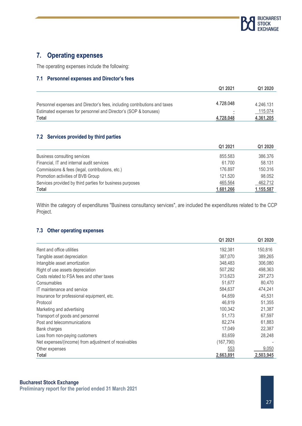

## **7. Operating expenses**

The operating expenses include the following:

#### **7.1 Personnel expenses and Director's fees**

|                                                                           | Q1 2021   | Q1 2020   |
|---------------------------------------------------------------------------|-----------|-----------|
|                                                                           |           |           |
| Personnel expenses and Director's fees, including contributions and taxes | 4.728.048 | 4.246.131 |
| Estimated expenses for personnel and Director's (SOP & bonuses)           |           | 115.074   |
| Total                                                                     | 4.728.048 | 4.361.205 |

#### **7.2 Services provided by third parties**

|                                                          | Q1 2021   | Q1 2020   |
|----------------------------------------------------------|-----------|-----------|
| Business consulting services                             | 855.583   | 386.376   |
| Financial, IT and internal audit services                | 61.700    | 58.131    |
| Commissions & fees (legal, contributions, etc.)          | 176.897   | 150.316   |
| Promotion activities of BVB Group                        | 121.520   | 98.052    |
| Services provided by third parties for business purposes | 465.564   | 462.712   |
| Total                                                    | 1.681.266 | 1.155.587 |

Within the category of expenditures "Business consultancy services", are included the expenditures related to the CCP Project.

#### **7.3 Other operating expenses**

|                                                      | Q1 2021    | Q1 2020   |
|------------------------------------------------------|------------|-----------|
| Rent and office utilities                            | 192,381    | 150,816   |
| Tangible asset depreciation                          | 387,070    | 389,265   |
| Intangible asset amortization                        | 348,483    | 306,080   |
| Right of use assets depreciation                     | 507,282    | 498,363   |
| Costs related to FSA fees and other taxes            | 313,623    | 297,273   |
| Consumables                                          | 51,677     | 80,470    |
| IT maintenance and service                           | 584,637    | 474,241   |
| Insurance for professional equipment, etc.           | 64,659     | 45,531    |
| Protocol                                             | 46,819     | 51,355    |
| Marketing and advertising                            | 100,342    | 21,387    |
| Transport of goods and personnel                     | 51,173     | 67,597    |
| Post and telecommunications                          | 82,274     | 61,883    |
| Bank charges                                         | 17,049     | 22,387    |
| Loss from non-paying customers                       | 83,659     | 28,248    |
| Net expenses/(income) from adjustment of receivables | (167, 790) |           |
| Other expenses                                       | 553        | 9,050     |
| Total                                                | 2,663,891  | 2,503,945 |

#### **Bucharest Stock Exchange**

**Preliminary report for the period ended 31 March 2021**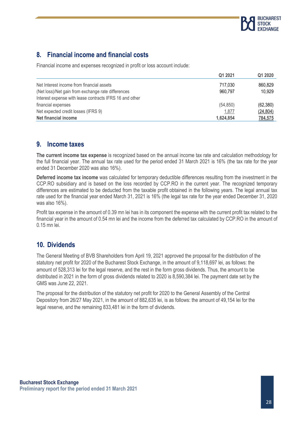

## **8. Financial income and financial costs**

Financial income and expenses recognized in profit or loss account include:

|                                                         | Q1 2021   | Q1 2020   |
|---------------------------------------------------------|-----------|-----------|
| Net Interest income from financial assets               | 717.030   | 860.829   |
| (Net loss)/Net gain from exchange rate differences      | 960.797   | 10,929    |
| Interest expense with lease contracts IFRS 16 and other |           |           |
| financial expenses                                      | (54, 850) | (62, 380) |
| Net expected credit losses (IFRS 9)                     | 1,877     | (24, 804) |
| Net financial income                                    | 1.624.854 | 784,575   |

## **9. Income taxes**

**The current income tax expense** is recognized based on the annual income tax rate and calculation methodology for the full financial year. The annual tax rate used for the period ended 31 March 2021 is 16% (the tax rate for the year ended 31 December 2020 was also 16%).

**Deferred income tax income** was calculated for temporary deductible differences resulting from the investment in the CCP.RO subsidiary and is based on the loss recorded by CCP.RO in the current year. The recognized temporary differences are estimated to be deducted from the taxable profit obtained in the following years. The legal annual tax rate used for the financial year ended March 31, 2021 is 16% (the legal tax rate for the year ended December 31, 2020 was also 16%).

Profit tax expense in the amount of 0.39 mn lei has in its component the expense with the current profit tax related to the financial year in the amount of 0.54 mn lei and the income from the deferred tax calculated by CCP.RO in the amount of 0.15 mn lei.

## **10. Dividends**

The General Meeting of BVB Shareholders from April 19, 2021 approved the proposal for the distribution of the statutory net profit for 2020 of the Bucharest Stock Exchange, in the amount of 9,118,697 lei, as follows: the amount of 528,313 lei for the legal reserve, and the rest in the form gross dividends. Thus, the amount to be distributed in 2021 in the form of gross dividends related to 2020 is 8,590,384 lei. The payment date set by the GMS was June 22, 2021.

The proposal for the distribution of the statutory net profit for 2020 to the General Assembly of the Central Depository from 26/27 May 2021, in the amount of 882,635 lei, is as follows: the amount of 49,154 lei for the legal reserve, and the remaining 833,481 lei in the form of dividends.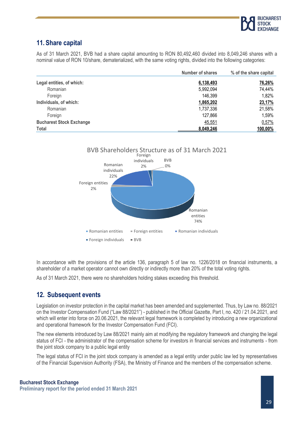

## **11. Share capital**

As of 31 March 2021, BVB had a share capital amounting to RON 80,492,460 divided into 8,049,246 shares with a nominal value of RON 10/share, dematerialized, with the same voting rights, divided into the following categories:

|                                 | <b>Number of shares</b> | % of the share capital |
|---------------------------------|-------------------------|------------------------|
| Legal entities, of which:       | 6,138,493               | 76,26%                 |
| Romanian                        | 5,992,094               | 74,44%                 |
| Foreign                         | 146,399                 | 1,82%                  |
| Individuals, of which:          | 1,865,202               | 23,17%                 |
| Romanian                        | 1,737,336               | 21,58%                 |
| Foreign                         | 127,866                 | 1,59%                  |
| <b>Bucharest Stock Exchange</b> | 45,551                  | 0,57%                  |
| Total                           | 8,049,246               | 100,00%                |



In accordance with the provisions of the article 136, paragraph 5 of law no. 1226/2018 on financial instruments, a shareholder of a market operator cannot own directly or indirectly more than 20% of the total voting rights.

As of 31 March 2021, there were no shareholders holding stakes exceeding this threshold.

## **12. Subsequent events**

Legislation on investor protection in the capital market has been amended and supplemented. Thus, by Law no. 88/2021 on the Investor Compensation Fund ("Law 88/2021") - published in the Official Gazette, Part I, no. 420 / 21.04.2021, and which will enter into force on 20.06.2021, the relevant legal framework is completed by introducing a new organizational and operational framework for the Investor Compensation Fund (FCI).

The new elements introduced by Law 88/2021 mainly aim at modifying the regulatory framework and changing the legal status of FCI - the administrator of the compensation scheme for investors in financial services and instruments - from the joint stock company to a public legal entity

The legal status of FCI in the joint stock company is amended as a legal entity under public law led by representatives of the Financial Supervision Authority (FSA), the Ministry of Finance and the members of the compensation scheme.

#### **Bucharest Stock Exchange**

**Preliminary report for the period ended 31 March 2021**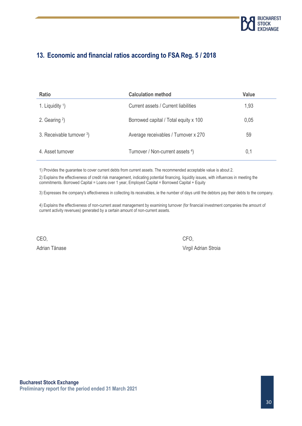

## **13. Economic and financial ratios according to FSA Reg. 5 / 2018**

| <b>Ratio</b>              | <b>Calculation method</b>             | <b>Value</b> |
|---------------------------|---------------------------------------|--------------|
| 1. Liquidity $1$ )        | Current assets / Current liabilities  | 1,93         |
| 2. Gearing $2$ )          | Borrowed capital / Total equity x 100 | 0,05         |
| 3. Receivable turnover 3) | Average receivables / Turnover x 270  | 59           |
| 4. Asset turnover         | Turnover / Non-current assets 4)      | 0,1          |

1) Provides the guarantee to cover current debts from current assets. The recommended acceptable value is about 2.

2) Explains the effectiveness of credit risk management, indicating potential financing, liquidity issues, with influences in meeting the commitments. Borrowed Capital = Loans over 1 year, Employed Capital = Borrowed Capital + Equity

3) Expresses the company's effectiveness in collecting its receivables, ie the number of days until the debtors pay their debts to the company.

4) Explains the effectiveness of non-current asset management by examining turnover (for financial investment companies the amount of current activity revenues) generated by a certain amount of non-current assets.

CEO, CFO,

Adrian Tănase Virgil Adrian Stroia